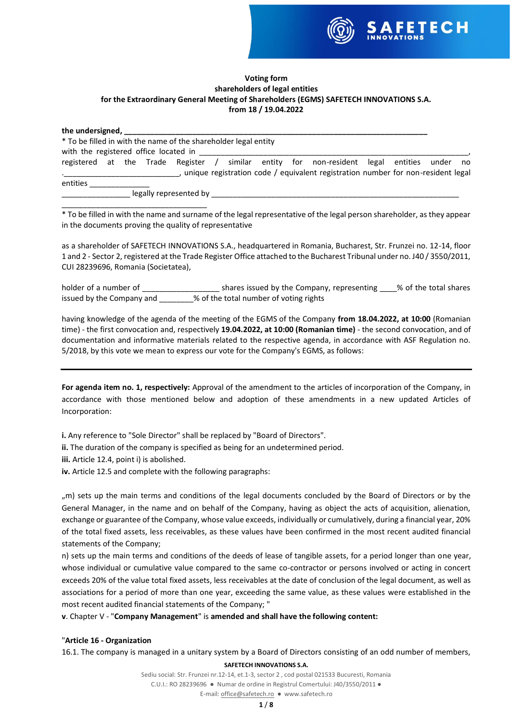

## **Voting form shareholders of legal entities for the Extraordinary General Meeting of Shareholders (EGMS) SAFETECH INNOVATIONS S.A. from 18 / 19.04.2022**

| * To be filled in with the name of the shareholder legal entity |  |                        |  |  |                                                                                            |  |  |
|-----------------------------------------------------------------|--|------------------------|--|--|--------------------------------------------------------------------------------------------|--|--|
| with the registered office located in                           |  |                        |  |  |                                                                                            |  |  |
|                                                                 |  |                        |  |  | registered at the Trade Register / similar entity for non-resident legal entities under no |  |  |
| <b>Contract Contract Contract Contract</b>                      |  |                        |  |  | , unique registration code / equivalent registration number for non-resident legal         |  |  |
| entities                                                        |  |                        |  |  |                                                                                            |  |  |
|                                                                 |  | legally represented by |  |  |                                                                                            |  |  |

\_\_\_\_\_\_\_\_\_\_\_\_\_\_\_\_\_\_\_\_\_\_\_\_\_\_\_\_\_\_\_\_\_\_ \* To be filled in with the name and surname of the legal representative of the legal person shareholder, as they appear in the documents proving the quality of representative

as a shareholder of SAFETECH INNOVATIONS S.A., headquartered in Romania, Bucharest, Str. Frunzei no. 12-14, floor 1 and 2 - Sector 2, registered at the Trade Register Office attached to the Bucharest Tribunal under no. J40 / 3550/2011, CUI 28239696, Romania (Societatea),

holder of a number of \_\_\_\_\_\_\_\_\_\_\_\_\_\_\_\_\_\_\_\_\_\_\_ shares issued by the Company, representing  $\sim$  % of the total shares issued by the Company and \_\_\_\_\_\_\_\_% of the total number of voting rights

having knowledge of the agenda of the meeting of the EGMS of the Company **from 18.04.2022, at 10:00** (Romanian time) - the first convocation and, respectively **19.04.2022, at 10:00 (Romanian time)** - the second convocation, and of documentation and informative materials related to the respective agenda, in accordance with ASF Regulation no. 5/2018, by this vote we mean to express our vote for the Company's EGMS, as follows:

**For agenda item no. 1, respectively:** Approval of the amendment to the articles of incorporation of the Company, in accordance with those mentioned below and adoption of these amendments in a new updated Articles of Incorporation:

**i.** Any reference to "Sole Director" shall be replaced by "Board of Directors".

**ii.** The duration of the company is specified as being for an undetermined period.

**iii.** Article 12.4, point i) is abolished.

**iv.** Article 12.5 and complete with the following paragraphs:

", m) sets up the main terms and conditions of the legal documents concluded by the Board of Directors or by the General Manager, in the name and on behalf of the Company, having as object the acts of acquisition, alienation, exchange or guarantee of the Company, whose value exceeds, individually or cumulatively, during a financial year, 20% of the total fixed assets, less receivables, as these values have been confirmed in the most recent audited financial statements of the Company;

n) sets up the main terms and conditions of the deeds of lease of tangible assets, for a period longer than one year, whose individual or cumulative value compared to the same co-contractor or persons involved or acting in concert exceeds 20% of the value total fixed assets, less receivables at the date of conclusion of the legal document, as well as associations for a period of more than one year, exceeding the same value, as these values were established in the most recent audited financial statements of the Company; "

**v**. Chapter V - "**Company Management**" is **amended and shall have the following content:**

## "**Article 16 - Organization**

16.1. The company is managed in a unitary system by a Board of Directors consisting of an odd number of members,

**SAFETECH INNOVATIONS S.A.**

Sediu social: Str. Frunzei nr.12-14, et.1-3, sector 2 , cod postal 021533 Bucuresti, Romania C.U.I.: RO 28239696 ● Numar de ordine in Registrul Comertului: J40/3550/2011 ●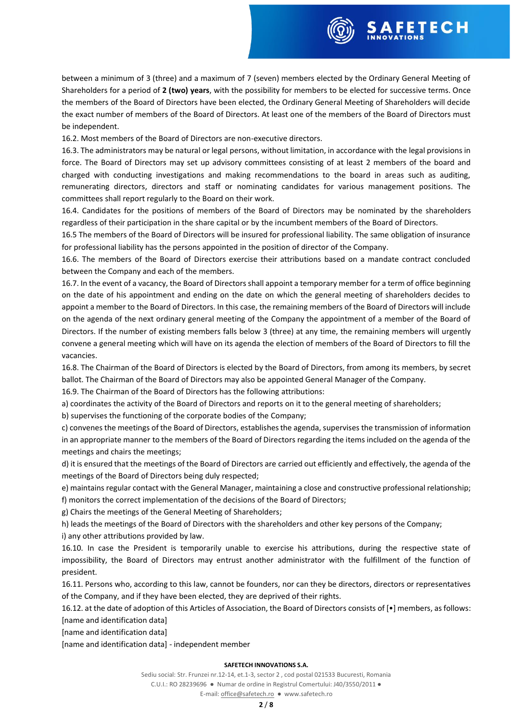

between a minimum of 3 (three) and a maximum of 7 (seven) members elected by the Ordinary General Meeting of Shareholders for a period of **2 (two) years**, with the possibility for members to be elected for successive terms. Once the members of the Board of Directors have been elected, the Ordinary General Meeting of Shareholders will decide the exact number of members of the Board of Directors. At least one of the members of the Board of Directors must be independent.

16.2. Most members of the Board of Directors are non-executive directors.

16.3. The administrators may be natural or legal persons, without limitation, in accordance with the legal provisions in force. The Board of Directors may set up advisory committees consisting of at least 2 members of the board and charged with conducting investigations and making recommendations to the board in areas such as auditing, remunerating directors, directors and staff or nominating candidates for various management positions. The committees shall report regularly to the Board on their work.

16.4. Candidates for the positions of members of the Board of Directors may be nominated by the shareholders regardless of their participation in the share capital or by the incumbent members of the Board of Directors.

16.5 The members of the Board of Directors will be insured for professional liability. The same obligation of insurance for professional liability has the persons appointed in the position of director of the Company.

16.6. The members of the Board of Directors exercise their attributions based on a mandate contract concluded between the Company and each of the members.

16.7. In the event of a vacancy, the Board of Directors shall appoint a temporary member for a term of office beginning on the date of his appointment and ending on the date on which the general meeting of shareholders decides to appoint a member to the Board of Directors. In this case, the remaining members of the Board of Directors will include on the agenda of the next ordinary general meeting of the Company the appointment of a member of the Board of Directors. If the number of existing members falls below 3 (three) at any time, the remaining members will urgently convene a general meeting which will have on its agenda the election of members of the Board of Directors to fill the vacancies.

16.8. The Chairman of the Board of Directors is elected by the Board of Directors, from among its members, by secret ballot. The Chairman of the Board of Directors may also be appointed General Manager of the Company.

16.9. The Chairman of the Board of Directors has the following attributions:

a) coordinates the activity of the Board of Directors and reports on it to the general meeting of shareholders;

b) supervises the functioning of the corporate bodies of the Company;

c) convenes the meetings of the Board of Directors, establishes the agenda, supervises the transmission of information in an appropriate manner to the members of the Board of Directors regarding the items included on the agenda of the meetings and chairs the meetings;

d) it is ensured that the meetings of the Board of Directors are carried out efficiently and effectively, the agenda of the meetings of the Board of Directors being duly respected;

e) maintains regular contact with the General Manager, maintaining a close and constructive professional relationship; f) monitors the correct implementation of the decisions of the Board of Directors;

g) Chairs the meetings of the General Meeting of Shareholders;

h) leads the meetings of the Board of Directors with the shareholders and other key persons of the Company;

i) any other attributions provided by law.

16.10. In case the President is temporarily unable to exercise his attributions, during the respective state of impossibility, the Board of Directors may entrust another administrator with the fulfillment of the function of president.

16.11. Persons who, according to this law, cannot be founders, nor can they be directors, directors or representatives of the Company, and if they have been elected, they are deprived of their rights.

16.12. at the date of adoption of this Articles of Association, the Board of Directors consists of [•] members, as follows: [name and identification data]

[name and identification data]

[name and identification data] - independent member

## **SAFETECH INNOVATIONS S.A.**

Sediu social: Str. Frunzei nr.12-14, et.1-3, sector 2 , cod postal 021533 Bucuresti, Romania C.U.I.: RO 28239696 ● Numar de ordine in Registrul Comertului: J40/3550/2011 ●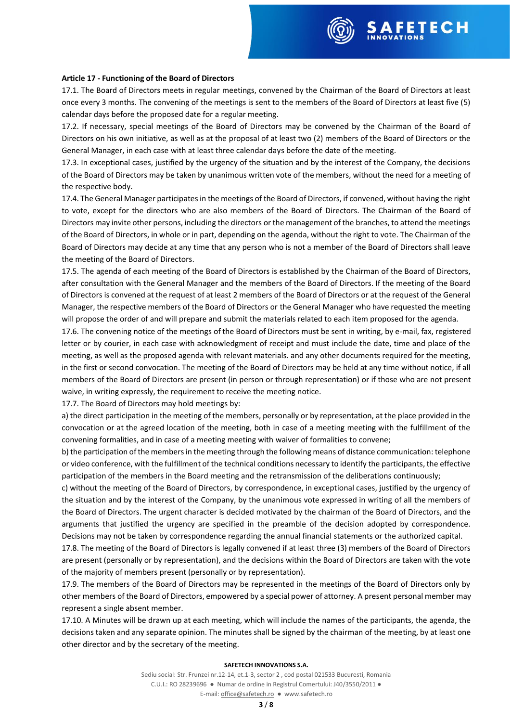

## **Article 17 - Functioning of the Board of Directors**

17.1. The Board of Directors meets in regular meetings, convened by the Chairman of the Board of Directors at least once every 3 months. The convening of the meetings is sent to the members of the Board of Directors at least five (5) calendar days before the proposed date for a regular meeting.

17.2. If necessary, special meetings of the Board of Directors may be convened by the Chairman of the Board of Directors on his own initiative, as well as at the proposal of at least two (2) members of the Board of Directors or the General Manager, in each case with at least three calendar days before the date of the meeting.

17.3. In exceptional cases, justified by the urgency of the situation and by the interest of the Company, the decisions of the Board of Directors may be taken by unanimous written vote of the members, without the need for a meeting of the respective body.

17.4. The General Manager participates in the meetings of the Board of Directors, if convened, without having the right to vote, except for the directors who are also members of the Board of Directors. The Chairman of the Board of Directors may invite other persons, including the directors or the management of the branches, to attend the meetings of the Board of Directors, in whole or in part, depending on the agenda, without the right to vote. The Chairman of the Board of Directors may decide at any time that any person who is not a member of the Board of Directors shall leave the meeting of the Board of Directors.

17.5. The agenda of each meeting of the Board of Directors is established by the Chairman of the Board of Directors, after consultation with the General Manager and the members of the Board of Directors. If the meeting of the Board of Directors is convened at the request of at least 2 members of the Board of Directors or at the request of the General Manager, the respective members of the Board of Directors or the General Manager who have requested the meeting will propose the order of and will prepare and submit the materials related to each item proposed for the agenda.

17.6. The convening notice of the meetings of the Board of Directors must be sent in writing, by e-mail, fax, registered letter or by courier, in each case with acknowledgment of receipt and must include the date, time and place of the meeting, as well as the proposed agenda with relevant materials. and any other documents required for the meeting, in the first or second convocation. The meeting of the Board of Directors may be held at any time without notice, if all members of the Board of Directors are present (in person or through representation) or if those who are not present waive, in writing expressly, the requirement to receive the meeting notice.

17.7. The Board of Directors may hold meetings by:

a) the direct participation in the meeting of the members, personally or by representation, at the place provided in the convocation or at the agreed location of the meeting, both in case of a meeting meeting with the fulfillment of the convening formalities, and in case of a meeting meeting with waiver of formalities to convene;

b) the participation of the members in the meeting through the following means of distance communication: telephone or video conference, with the fulfillment of the technical conditions necessary to identify the participants, the effective participation of the members in the Board meeting and the retransmission of the deliberations continuously;

c) without the meeting of the Board of Directors, by correspondence, in exceptional cases, justified by the urgency of the situation and by the interest of the Company, by the unanimous vote expressed in writing of all the members of the Board of Directors. The urgent character is decided motivated by the chairman of the Board of Directors, and the arguments that justified the urgency are specified in the preamble of the decision adopted by correspondence. Decisions may not be taken by correspondence regarding the annual financial statements or the authorized capital.

17.8. The meeting of the Board of Directors is legally convened if at least three (3) members of the Board of Directors are present (personally or by representation), and the decisions within the Board of Directors are taken with the vote of the majority of members present (personally or by representation).

17.9. The members of the Board of Directors may be represented in the meetings of the Board of Directors only by other members of the Board of Directors, empowered by a special power of attorney. A present personal member may represent a single absent member.

17.10. A Minutes will be drawn up at each meeting, which will include the names of the participants, the agenda, the decisions taken and any separate opinion. The minutes shall be signed by the chairman of the meeting, by at least one other director and by the secretary of the meeting.

#### **SAFETECH INNOVATIONS S.A.**

Sediu social: Str. Frunzei nr.12-14, et.1-3, sector 2 , cod postal 021533 Bucuresti, Romania C.U.I.: RO 28239696 ● Numar de ordine in Registrul Comertului: J40/3550/2011 ● E-mail[: office@safetech.ro](mailto:office@safetech.ro) ● www.safetech.ro

## **3** / **8**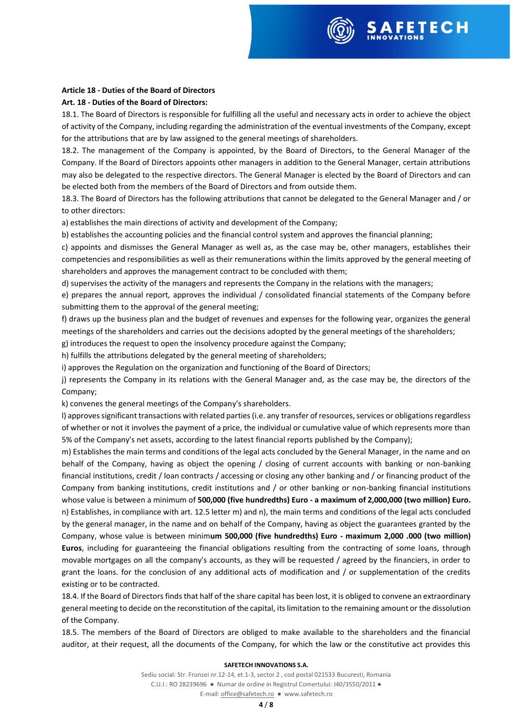

## **Article 18 - Duties of the Board of Directors**

## **Art. 18 - Duties of the Board of Directors:**

18.1. The Board of Directors is responsible for fulfilling all the useful and necessary acts in order to achieve the object of activity of the Company, including regarding the administration of the eventual investments of the Company, except for the attributions that are by law assigned to the general meetings of shareholders.

18.2. The management of the Company is appointed, by the Board of Directors, to the General Manager of the Company. If the Board of Directors appoints other managers in addition to the General Manager, certain attributions may also be delegated to the respective directors. The General Manager is elected by the Board of Directors and can be elected both from the members of the Board of Directors and from outside them.

18.3. The Board of Directors has the following attributions that cannot be delegated to the General Manager and / or to other directors:

a) establishes the main directions of activity and development of the Company;

b) establishes the accounting policies and the financial control system and approves the financial planning;

c) appoints and dismisses the General Manager as well as, as the case may be, other managers, establishes their competencies and responsibilities as well as their remunerations within the limits approved by the general meeting of shareholders and approves the management contract to be concluded with them;

d) supervises the activity of the managers and represents the Company in the relations with the managers;

e) prepares the annual report, approves the individual / consolidated financial statements of the Company before submitting them to the approval of the general meeting;

f) draws up the business plan and the budget of revenues and expenses for the following year, organizes the general meetings of the shareholders and carries out the decisions adopted by the general meetings of the shareholders; g) introduces the request to open the insolvency procedure against the Company;

h) fulfills the attributions delegated by the general meeting of shareholders;

i) approves the Regulation on the organization and functioning of the Board of Directors;

j) represents the Company in its relations with the General Manager and, as the case may be, the directors of the Company;

k) convenes the general meetings of the Company's shareholders.

l) approves significant transactions with related parties (i.e. any transfer of resources, services or obligations regardless of whether or not it involves the payment of a price, the individual or cumulative value of which represents more than 5% of the Company's net assets, according to the latest financial reports published by the Company);

m) Establishes the main terms and conditions of the legal acts concluded by the General Manager, in the name and on behalf of the Company, having as object the opening / closing of current accounts with banking or non-banking financial institutions, credit / loan contracts / accessing or closing any other banking and / or financing product of the Company from banking institutions, credit institutions and / or other banking or non-banking financial institutions whose value is between a minimum of **500,000 (five hundredths) Euro - a maximum of 2,000,000 (two million) Euro.** n) Establishes, in compliance with art. 12.5 letter m) and n), the main terms and conditions of the legal acts concluded by the general manager, in the name and on behalf of the Company, having as object the guarantees granted by the Company, whose value is between minim**um 500,000 (five hundredths) Euro - maximum 2,000 .000 (two million) Euros**, including for guaranteeing the financial obligations resulting from the contracting of some loans, through movable mortgages on all the company's accounts, as they will be requested / agreed by the financiers, in order to grant the loans. for the conclusion of any additional acts of modification and / or supplementation of the credits existing or to be contracted.

18.4. If the Board of Directors finds that half of the share capital has been lost, it is obliged to convene an extraordinary general meeting to decide on the reconstitution of the capital, its limitation to the remaining amount or the dissolution of the Company.

18.5. The members of the Board of Directors are obliged to make available to the shareholders and the financial auditor, at their request, all the documents of the Company, for which the law or the constitutive act provides this

## **SAFETECH INNOVATIONS S.A.**

Sediu social: Str. Frunzei nr.12-14, et.1-3, sector 2 , cod postal 021533 Bucuresti, Romania C.U.I.: RO 28239696 ● Numar de ordine in Registrul Comertului: J40/3550/2011 ●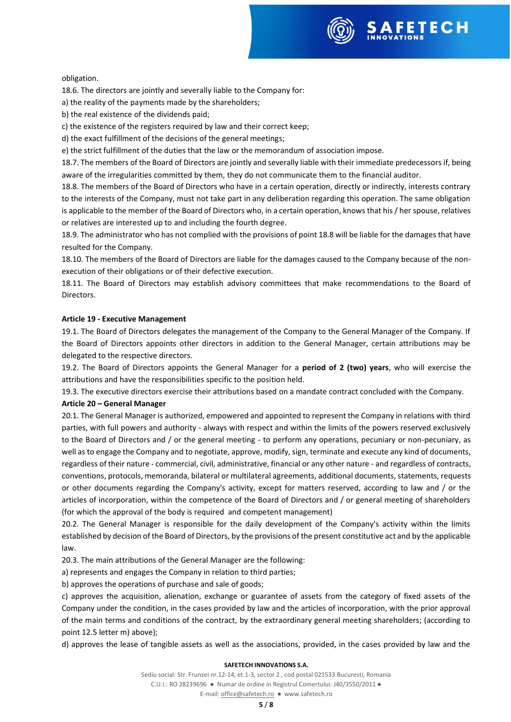

## obligation.

18.6. The directors are jointly and severally liable to the Company for:

a) the reality of the payments made by the shareholders;

b) the real existence of the dividends paid;

c) the existence of the registers required by law and their correct keep;

d) the exact fulfillment of the decisions of the general meetings;

e) the strict fulfillment of the duties that the law or the memorandum of association impose.

18.7. The members of the Board of Directors are jointly and severally liable with their immediate predecessors if, being aware of the irregularities committed by them, they do not communicate them to the financial auditor.

18.8. The members of the Board of Directors who have in a certain operation, directly or indirectly, interests contrary to the interests of the Company, must not take part in any deliberation regarding this operation. The same obligation is applicable to the member of the Board of Directors who, in a certain operation, knows that his / her spouse, relatives or relatives are interested up to and including the fourth degree.

18.9. The administrator who has not complied with the provisions of point 18.8 will be liable for the damages that have resulted for the Company.

18.10. The members of the Board of Directors are liable for the damages caused to the Company because of the nonexecution of their obligations or of their defective execution.

18.11. The Board of Directors may establish advisory committees that make recommendations to the Board of Directors.

## **Article 19 - Executive Management**

19.1. The Board of Directors delegates the management of the Company to the General Manager of the Company. If the Board of Directors appoints other directors in addition to the General Manager, certain attributions may be delegated to the respective directors.

19.2. The Board of Directors appoints the General Manager for a **period of 2 (two) years**, who will exercise the attributions and have the responsibilities specific to the position held.

19.3. The executive directors exercise their attributions based on a mandate contract concluded with the Company.

## **Article 20 – General Manager**

20.1. The General Manager is authorized, empowered and appointed to represent the Company in relations with third parties, with full powers and authority - always with respect and within the limits of the powers reserved exclusively to the Board of Directors and / or the general meeting - to perform any operations, pecuniary or non-pecuniary, as well as to engage the Company and to negotiate, approve, modify, sign, terminate and execute any kind of documents, regardless of their nature - commercial, civil, administrative, financial or any other nature - and regardless of contracts, conventions, protocols, memoranda, bilateral or multilateral agreements, additional documents, statements, requests or other documents regarding the Company's activity, except for matters reserved, according to law and / or the articles of incorporation, within the competence of the Board of Directors and / or general meeting of shareholders (for which the approval of the body is required and competent management)

20.2. The General Manager is responsible for the daily development of the Company's activity within the limits established by decision of the Board of Directors, by the provisions of the present constitutive act and by the applicable law.

20.3. The main attributions of the General Manager are the following:

a) represents and engages the Company in relation to third parties;

b) approves the operations of purchase and sale of goods;

c) approves the acquisition, alienation, exchange or guarantee of assets from the category of fixed assets of the Company under the condition, in the cases provided by law and the articles of incorporation, with the prior approval of the main terms and conditions of the contract, by the extraordinary general meeting shareholders; (according to point 12.5 letter m) above);

d) approves the lease of tangible assets as well as the associations, provided, in the cases provided by law and the

## **SAFETECH INNOVATIONS S.A.**

Sediu social: Str. Frunzei nr.12-14, et.1-3, sector 2 , cod postal 021533 Bucuresti, Romania C.U.I.: RO 28239696 ● Numar de ordine in Registrul Comertului: J40/3550/2011 ●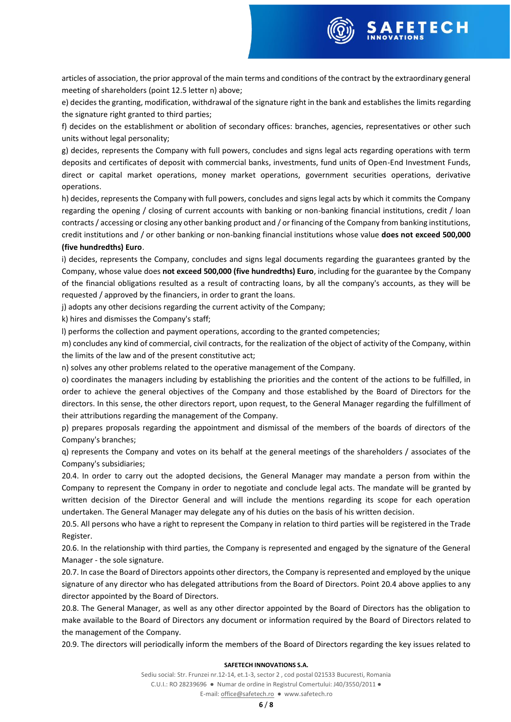

articles of association, the prior approval of the main terms and conditions of the contract by the extraordinary general meeting of shareholders (point 12.5 letter n) above;

e) decides the granting, modification, withdrawal of the signature right in the bank and establishes the limits regarding the signature right granted to third parties;

f) decides on the establishment or abolition of secondary offices: branches, agencies, representatives or other such units without legal personality;

g) decides, represents the Company with full powers, concludes and signs legal acts regarding operations with term deposits and certificates of deposit with commercial banks, investments, fund units of Open-End Investment Funds, direct or capital market operations, money market operations, government securities operations, derivative operations.

h) decides, represents the Company with full powers, concludes and signs legal acts by which it commits the Company regarding the opening / closing of current accounts with banking or non-banking financial institutions, credit / loan contracts / accessing or closing any other banking product and / or financing of the Company from banking institutions, credit institutions and / or other banking or non-banking financial institutions whose value **does not exceed 500,000 (five hundredths) Euro**.

# i) decides, represents the Company, concludes and signs legal documents regarding the guarantees granted by the Company, whose value does **not exceed 500,000 (five hundredths) Euro**, including for the guarantee by the Company of the financial obligations resulted as a result of contracting loans, by all the company's accounts, as they will be requested / approved by the financiers, in order to grant the loans.

j) adopts any other decisions regarding the current activity of the Company;

k) hires and dismisses the Company's staff;

l) performs the collection and payment operations, according to the granted competencies;

m) concludes any kind of commercial, civil contracts, for the realization of the object of activity of the Company, within the limits of the law and of the present constitutive act;

n) solves any other problems related to the operative management of the Company.

o) coordinates the managers including by establishing the priorities and the content of the actions to be fulfilled, in order to achieve the general objectives of the Company and those established by the Board of Directors for the directors. In this sense, the other directors report, upon request, to the General Manager regarding the fulfillment of their attributions regarding the management of the Company.

p) prepares proposals regarding the appointment and dismissal of the members of the boards of directors of the Company's branches;

q) represents the Company and votes on its behalf at the general meetings of the shareholders / associates of the Company's subsidiaries;

20.4. In order to carry out the adopted decisions, the General Manager may mandate a person from within the Company to represent the Company in order to negotiate and conclude legal acts. The mandate will be granted by written decision of the Director General and will include the mentions regarding its scope for each operation undertaken. The General Manager may delegate any of his duties on the basis of his written decision.

20.5. All persons who have a right to represent the Company in relation to third parties will be registered in the Trade Register.

20.6. In the relationship with third parties, the Company is represented and engaged by the signature of the General Manager - the sole signature.

20.7. In case the Board of Directors appoints other directors, the Company is represented and employed by the unique signature of any director who has delegated attributions from the Board of Directors. Point 20.4 above applies to any director appointed by the Board of Directors.

20.8. The General Manager, as well as any other director appointed by the Board of Directors has the obligation to make available to the Board of Directors any document or information required by the Board of Directors related to the management of the Company.

20.9. The directors will periodically inform the members of the Board of Directors regarding the key issues related to

## **SAFETECH INNOVATIONS S.A.**

Sediu social: Str. Frunzei nr.12-14, et.1-3, sector 2 , cod postal 021533 Bucuresti, Romania C.U.I.: RO 28239696 ● Numar de ordine in Registrul Comertului: J40/3550/2011 ●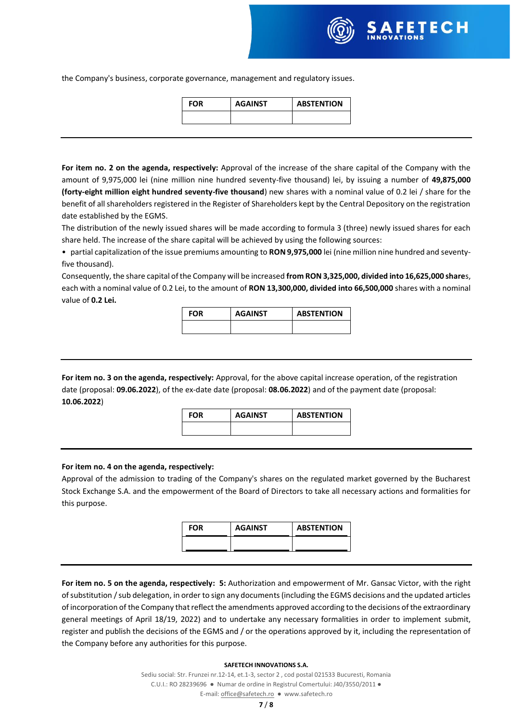the Company's business, corporate governance, management and regulatory issues.

| FOR | <b>AGAINST</b> | <b>ABSTENTION</b> |  |  |
|-----|----------------|-------------------|--|--|
|     |                |                   |  |  |

**For item no. 2 on the agenda, respectively:** Approval of the increase of the share capital of the Company with the amount of 9,975,000 lei (nine million nine hundred seventy-five thousand) lei, by issuing a number of **49,875,000 (forty-eight million eight hundred seventy-five thousand**) new shares with a nominal value of 0.2 lei / share for the benefit of all shareholders registered in the Register of Shareholders kept by the Central Depository on the registration date established by the EGMS.

The distribution of the newly issued shares will be made according to formula 3 (three) newly issued shares for each share held. The increase of the share capital will be achieved by using the following sources:

• partial capitalization of the issue premiums amounting to **RON 9,975,000** lei (nine million nine hundred and seventyfive thousand).

Consequently, the share capital of the Company will be increased **from RON 3,325,000, divided into 16,625,000 share**s, each with a nominal value of 0.2 Lei, to the amount of **RON 13,300,000, divided into 66,500,000** shares with a nominal value of **0.2 Lei.**

| <b>FOR</b> | <b>AGAINST</b> | <b>ABSTENTION</b> |  |  |
|------------|----------------|-------------------|--|--|
|            |                |                   |  |  |

**For item no. 3 on the agenda, respectively:** Approval, for the above capital increase operation, of the registration date (proposal: **09.06.2022**), of the ex-date date (proposal: **08.06.2022**) and of the payment date (proposal: **10.06.2022**)

**FOR AGAINST ABSTENTION**

## **For item no. 4 on the agenda, respectively:**

Approval of the admission to trading of the Company's shares on the regulated market governed by the Bucharest Stock Exchange S.A. and the empowerment of the Board of Directors to take all necessary actions and formalities for this purpose.

| <b>FOR</b> | <b>AGAINST</b> | <b>ABSTENTION</b> |  |  |
|------------|----------------|-------------------|--|--|
|            |                |                   |  |  |

**For item no. 5 on the agenda, respectively: 5:** Authorization and empowerment of Mr. Gansac Victor, with the right of substitution / sub delegation, in order to sign any documents (including the EGMS decisions and the updated articles of incorporation of the Company that reflect the amendments approved according to the decisions of the extraordinary general meetings of April 18/19, 2022) and to undertake any necessary formalities in order to implement submit, register and publish the decisions of the EGMS and / or the operations approved by it, including the representation of the Company before any authorities for this purpose.

## **SAFETECH INNOVATIONS S.A.**

Sediu social: Str. Frunzei nr.12-14, et.1-3, sector 2 , cod postal 021533 Bucuresti, Romania C.U.I.: RO 28239696 ● Numar de ordine in Registrul Comertului: J40/3550/2011 ● E-mail[: office@safetech.ro](mailto:office@safetech.ro) ● www.safetech.ro